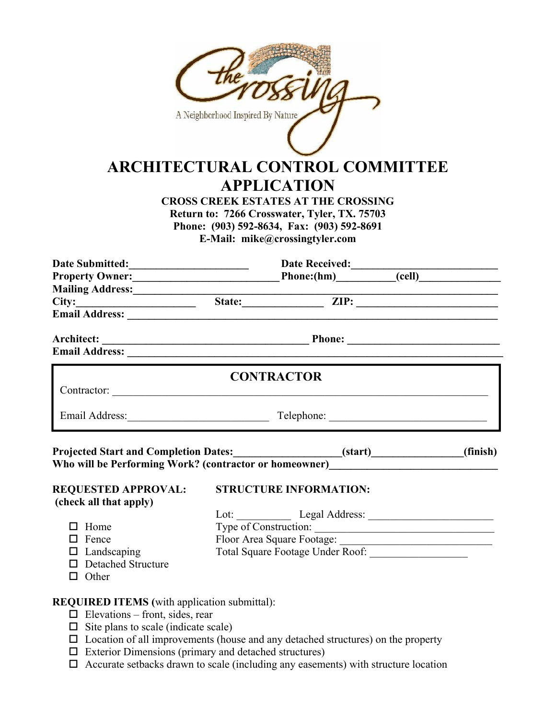|                                                                                                                                                                                                                                      | A Neighborhood Inspired By Nature                                                              | <b>ARCHITECTURAL CONTROL COMMITTEE</b><br><b>APPLICATION</b><br><b>CROSS CREEK ESTATES AT THE CROSSING</b><br>Return to: 7266 Crosswater, Tyler, TX. 75703<br>Phone: (903) 592-8634, Fax: (903) 592-8691<br>E-Mail: mike@crossingtyler.com |                    |  |  |
|--------------------------------------------------------------------------------------------------------------------------------------------------------------------------------------------------------------------------------------|------------------------------------------------------------------------------------------------|--------------------------------------------------------------------------------------------------------------------------------------------------------------------------------------------------------------------------------------------|--------------------|--|--|
|                                                                                                                                                                                                                                      | Date Submitted: Date Received: Date Received: Community Owner: Date Received: Community Owner: |                                                                                                                                                                                                                                            |                    |  |  |
|                                                                                                                                                                                                                                      |                                                                                                |                                                                                                                                                                                                                                            |                    |  |  |
|                                                                                                                                                                                                                                      |                                                                                                |                                                                                                                                                                                                                                            |                    |  |  |
|                                                                                                                                                                                                                                      |                                                                                                |                                                                                                                                                                                                                                            |                    |  |  |
| Mailing Address: <u>City: State: City: City: City: City: City: City: City: City: City: City: City: City: City: City: City: City: City: City: City: City: City: City: City: City: City: City: City: City: City: City: City: City:</u> |                                                                                                |                                                                                                                                                                                                                                            |                    |  |  |
|                                                                                                                                                                                                                                      |                                                                                                |                                                                                                                                                                                                                                            |                    |  |  |
|                                                                                                                                                                                                                                      |                                                                                                | <b>CONTRACTOR</b>                                                                                                                                                                                                                          |                    |  |  |
| Email Address: Telephone: Telephone: Telephone: 2008.                                                                                                                                                                                |                                                                                                |                                                                                                                                                                                                                                            |                    |  |  |
| Who will be Performing Work? (contractor or homeowner)__________________________                                                                                                                                                     |                                                                                                |                                                                                                                                                                                                                                            | $(start)$ (finish) |  |  |
| <b>REQUESTED APPROVAL:</b>                                                                                                                                                                                                           |                                                                                                | STRUCTURE INFORMATION:                                                                                                                                                                                                                     |                    |  |  |
| (check all that apply)                                                                                                                                                                                                               |                                                                                                |                                                                                                                                                                                                                                            |                    |  |  |
|                                                                                                                                                                                                                                      |                                                                                                |                                                                                                                                                                                                                                            |                    |  |  |
| $\Box$ Home                                                                                                                                                                                                                          |                                                                                                |                                                                                                                                                                                                                                            |                    |  |  |
| $\Box$ Fence                                                                                                                                                                                                                         |                                                                                                | Type of Construction:                                                                                                                                                                                                                      |                    |  |  |
| $\Box$ Landscaping                                                                                                                                                                                                                   |                                                                                                |                                                                                                                                                                                                                                            |                    |  |  |
| □ Detached Structure                                                                                                                                                                                                                 |                                                                                                |                                                                                                                                                                                                                                            |                    |  |  |
| $\Box$ Other                                                                                                                                                                                                                         |                                                                                                |                                                                                                                                                                                                                                            |                    |  |  |
| <b>REQUIRED ITEMS</b> (with application submittal):                                                                                                                                                                                  |                                                                                                |                                                                                                                                                                                                                                            |                    |  |  |
| $\Box$ Elevations – front, sides, rear                                                                                                                                                                                               |                                                                                                |                                                                                                                                                                                                                                            |                    |  |  |
| $\Box$ Site plans to scale (indicate scale)                                                                                                                                                                                          |                                                                                                |                                                                                                                                                                                                                                            |                    |  |  |

- $\Box$  Location of all improvements (house and any detached structures) on the property
- Exterior Dimensions (primary and detached structures)
- $\Box$  Accurate setbacks drawn to scale (including any easements) with structure location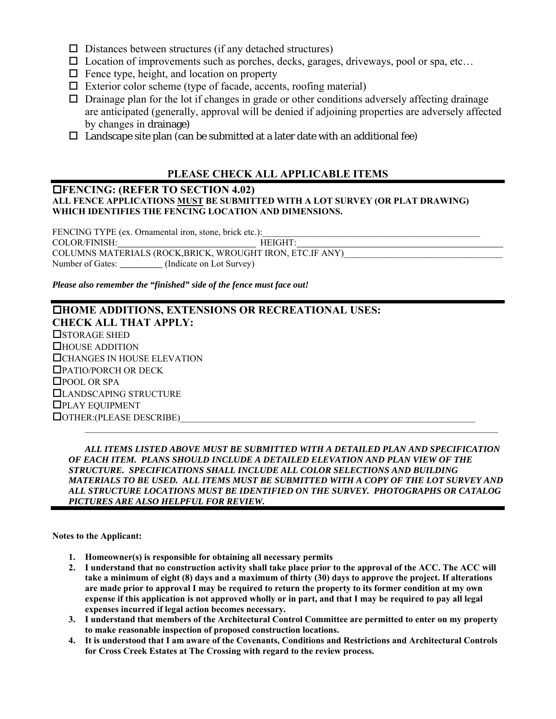- $\square$  Distances between structures (if any detached structures)
- $\square$  Location of improvements such as porches, decks, garages, driveways, pool or spa, etc...
- $\Box$  Fence type, height, and location on property
- $\Box$  Exterior color scheme (type of facade, accents, roofing material)
- $\Box$  Drainage plan for the lot if changes in grade or other conditions adversely affecting drainage are anticipated (generally, approval will be denied if adjoining properties are adversely affected by changes in drainage)
- $\Box$  Landscape site plan (can be submitted at a later date with an additional fee)

### **PLEASE CHECK ALL APPLICABLE ITEMS**

### **FENCING: (REFER TO SECTION 4.02) ALL FENCE APPLICATIONS MUST BE SUBMITTED WITH A LOT SURVEY (OR PLAT DRAWING) WHICH IDENTIFIES THE FENCING LOCATION AND DIMENSIONS.**

FENCING TYPE (ex. Ornamental iron, stone, brick etc.): COLOR/FINISH: HEIGHT: COLUMNS MATERIALS (ROCK,BRICK, WROUGHT IRON, ETC.IF ANY) Number of Gates: \_\_\_\_\_\_\_\_\_ (Indicate on Lot Survey)

*Please also remember the "finished" side of the fence must face out!* 

### **HOME ADDITIONS, EXTENSIONS OR RECREATIONAL USES: CHECK ALL THAT APPLY: OSTORAGE SHED** HOUSE ADDITION CHANGES IN HOUSE ELEVATION PATIO/PORCH OR DECK □POOL OR SPA LANDSCAPING STRUCTURE PLAY EQUIPMENT  $\Box$  OTHER:(PLEASE DESCRIBE)  $\mathcal{L}_\mathcal{L} = \mathcal{L}_\mathcal{L}$

 *ALL ITEMS LISTED ABOVE MUST BE SUBMITTED WITH A DETAILED PLAN AND SPECIFICATION OF EACH ITEM. PLANS SHOULD INCLUDE A DETAILED ELEVATION AND PLAN VIEW OF THE STRUCTURE. SPECIFICATIONS SHALL INCLUDE ALL COLOR SELECTIONS AND BUILDING MATERIALS TO BE USED. ALL ITEMS MUST BE SUBMITTED WITH A COPY OF THE LOT SURVEY AND ALL STRUCTURE LOCATIONS MUST BE IDENTIFIED ON THE SURVEY. PHOTOGRAPHS OR CATALOG PICTURES ARE ALSO HELPFUL FOR REVIEW.* 

**Notes to the Applicant:** 

- **1. Homeowner(s) is responsible for obtaining all necessary permits**
- **2. I understand that no construction activity shall take place prior to the approval of the ACC. The ACC will take a minimum of eight (8) days and a maximum of thirty (30) days to approve the project. If alterations are made prior to approval I may be required to return the property to its former condition at my own expense if this application is not approved wholly or in part, and that I may be required to pay all legal expenses incurred if legal action becomes necessary.**
- **3. I understand that members of the Architectural Control Committee are permitted to enter on my property to make reasonable inspection of proposed construction locations.**
- **4. It is understood that I am aware of the Covenants, Conditions and Restrictions and Architectural Controls for Cross Creek Estates at The Crossing with regard to the review process.**